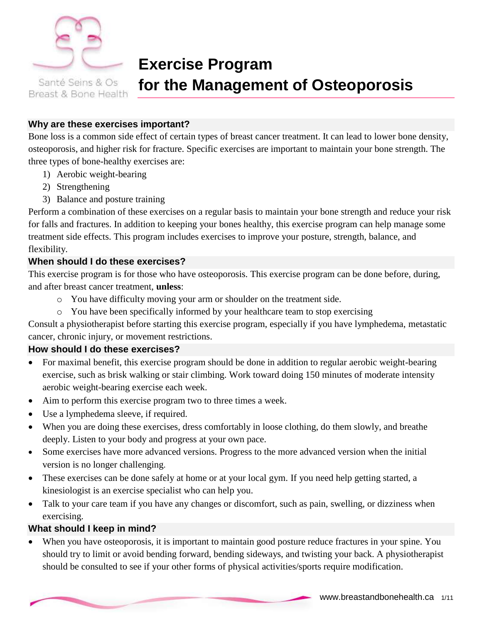

Breast & Bone Health

# **Exercise Program for the Management of Osteoporosis**

## **Why are these exercises important?**

Bone loss is a common side effect of certain types of breast cancer treatment. It can lead to lower bone density, osteoporosis, and higher risk for fracture. Specific exercises are important to maintain your bone strength. The three types of bone-healthy exercises are:

- 1) Aerobic weight-bearing
- 2) Strengthening
- 3) Balance and posture training

Perform a combination of these exercises on a regular basis to maintain your bone strength and reduce your risk for falls and fractures. In addition to keeping your bones healthy, this exercise program can help manage some treatment side effects. This program includes exercises to improve your posture, strength, balance, and flexibility.

#### **When should I do these exercises?**

This exercise program is for those who have osteoporosis. This exercise program can be done before, during, and after breast cancer treatment, **unless**:

- o You have difficulty moving your arm or shoulder on the treatment side.
- o You have been specifically informed by your healthcare team to stop exercising

Consult a physiotherapist before starting this exercise program, especially if you have lymphedema, metastatic cancer, chronic injury, or movement restrictions.

### **How should I do these exercises?**

- For maximal benefit, this exercise program should be done in addition to regular aerobic weight-bearing exercise, such as brisk walking or stair climbing. Work toward doing 150 minutes of moderate intensity aerobic weight-bearing exercise each week.
- Aim to perform this exercise program two to three times a week.
- Use a lymphedema sleeve, if required.
- When you are doing these exercises, dress comfortably in loose clothing, do them slowly, and breathe deeply. Listen to your body and progress at your own pace.
- Some exercises have more advanced versions. Progress to the more advanced version when the initial version is no longer challenging.
- These exercises can be done safely at home or at your local gym. If you need help getting started, a kinesiologist is an exercise specialist who can help you.
- Talk to your care team if you have any changes or discomfort, such as pain, swelling, or dizziness when exercising.

### **What should I keep in mind?**

 When you have osteoporosis, it is important to maintain good posture reduce fractures in your spine. You should try to limit or avoid bending forward, bending sideways, and twisting your back. A physiotherapist should be consulted to see if your other forms of physical activities/sports require modification.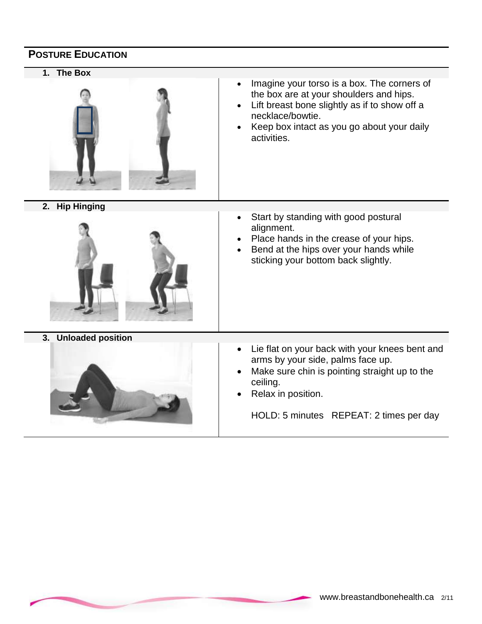# **POSTURE EDUCATION**

**1. The Box** 



- Imagine your torso is a box. The corners of the box are at your shoulders and hips.
- Lift breast bone slightly as if to show off a necklace/bowtie.
- Keep box intact as you go about your daily activities.

**2. Hip Hinging**



**3. Unloaded position**



- Start by standing with good postural alignment.
- Place hands in the crease of your hips.
- Bend at the hips over your hands while sticking your bottom back slightly.

- Lie flat on your back with your knees bent and arms by your side, palms face up.
- Make sure chin is pointing straight up to the ceiling.
- Relax in position.

HOLD: 5 minutes REPEAT: 2 times per day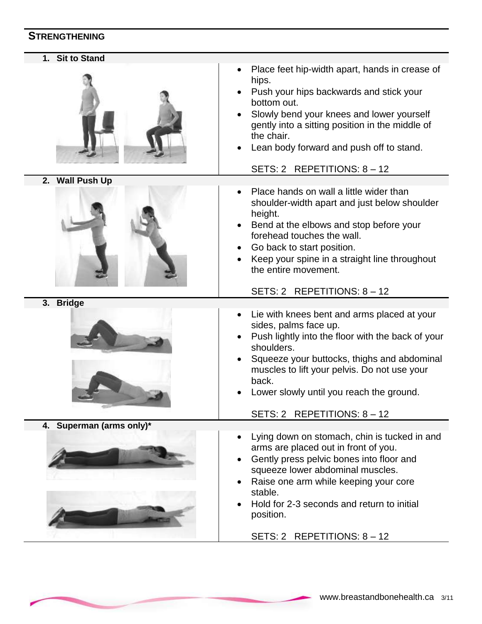# **STRENGTHENING**

| Place feet hip-width apart, hands in crease of<br>hips.<br>Push your hips backwards and stick your<br>bottom out.<br>Slowly bend your knees and lower yourself<br>gently into a sitting position in the middle of<br>the chair.<br>Lean body forward and push off to stand.<br>SETS: 2 REPETITIONS: 8 - 12         |
|--------------------------------------------------------------------------------------------------------------------------------------------------------------------------------------------------------------------------------------------------------------------------------------------------------------------|
|                                                                                                                                                                                                                                                                                                                    |
| Place hands on wall a little wider than<br>shoulder-width apart and just below shoulder<br>height.<br>Bend at the elbows and stop before your<br>forehead touches the wall.<br>Go back to start position.<br>Keep your spine in a straight line throughout<br>the entire movement.<br>SETS: 2 REPETITIONS: 8 - 12  |
|                                                                                                                                                                                                                                                                                                                    |
| Lie with knees bent and arms placed at your<br>sides, palms face up.<br>Push lightly into the floor with the back of your<br>shoulders.<br>Squeeze your buttocks, thighs and abdominal<br>muscles to lift your pelvis. Do not use your<br>back.<br>Lower slowly until you reach the ground.                        |
| SETS: 2 REPETITIONS: 8 - 12                                                                                                                                                                                                                                                                                        |
| Lying down on stomach, chin is tucked in and<br>arms are placed out in front of you.<br>Gently press pelvic bones into floor and<br>squeeze lower abdominal muscles.<br>Raise one arm while keeping your core<br>stable.<br>Hold for 2-3 seconds and return to initial<br>position.<br>SETS: 2 REPETITIONS: 8 - 12 |
|                                                                                                                                                                                                                                                                                                                    |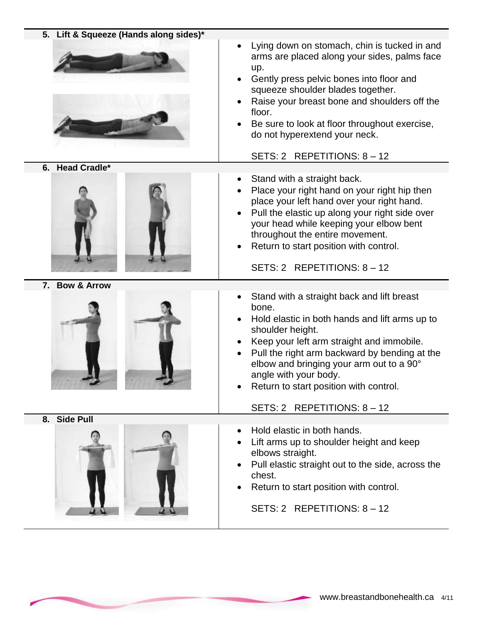| 5. Lift & Squeeze (Hands along sides)* |                                                                                                                                                                                                                                                                                                                                                                       |
|----------------------------------------|-----------------------------------------------------------------------------------------------------------------------------------------------------------------------------------------------------------------------------------------------------------------------------------------------------------------------------------------------------------------------|
|                                        | Lying down on stomach, chin is tucked in and<br>arms are placed along your sides, palms face<br>up.<br>Gently press pelvic bones into floor and<br>squeeze shoulder blades together.<br>Raise your breast bone and shoulders off the<br>floor.<br>Be sure to look at floor throughout exercise,<br>do not hyperextend your neck.<br>SETS: 2 REPETITIONS: 8 - 12       |
| <b>Head Cradle*</b><br>6.              |                                                                                                                                                                                                                                                                                                                                                                       |
|                                        | Stand with a straight back.<br>Place your right hand on your right hip then<br>place your left hand over your right hand.<br>Pull the elastic up along your right side over<br>your head while keeping your elbow bent<br>throughout the entire movement.<br>Return to start position with control.<br>SETS: 2 REPETITIONS: 8 - 12                                    |
|                                        |                                                                                                                                                                                                                                                                                                                                                                       |
| 7. Bow & Arrow                         | Stand with a straight back and lift breast<br>bone.<br>Hold elastic in both hands and lift arms up to<br>shoulder height.<br>Keep your left arm straight and immobile.<br>Pull the right arm backward by bending at the<br>elbow and bringing your arm out to a 90°<br>angle with your body.<br>Return to start position with control.<br>SETS: 2 REPETITIONS: 8 - 12 |
| 8. Side Pull                           |                                                                                                                                                                                                                                                                                                                                                                       |
|                                        | Hold elastic in both hands.<br>Lift arms up to shoulder height and keep<br>elbows straight.<br>Pull elastic straight out to the side, across the<br>chest.<br>Return to start position with control.<br>SETS: 2 REPETITIONS: 8 - 12                                                                                                                                   |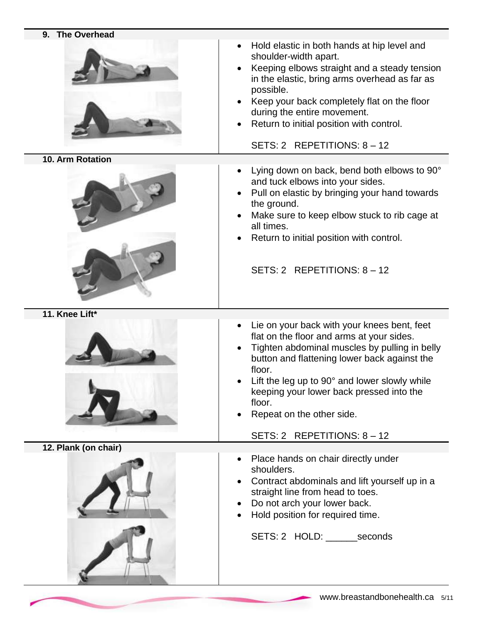**9. The Overhead**



**10. Arm Rotation**



**11. Knee Lift\***



**12. Plank (on chair)**



- Hold elastic in both hands at hip level and shoulder-width apart.
- Keeping elbows straight and a steady tension in the elastic, bring arms overhead as far as possible.
- Keep your back completely flat on the floor during the entire movement.
- Return to initial position with control.

# SETS: 2 REPETITIONS: 8 – 12

- Lying down on back, bend both elbows to 90° and tuck elbows into your sides.
- Pull on elastic by bringing your hand towards the ground.
- Make sure to keep elbow stuck to rib cage at all times.
- Return to initial position with control.

SETS: 2 REPETITIONS: 8 – 12

- Lie on your back with your knees bent, feet flat on the floor and arms at your sides.
- Tighten abdominal muscles by pulling in belly button and flattening lower back against the floor.
- Lift the leg up to 90° and lower slowly while keeping your lower back pressed into the floor.
- Repeat on the other side.

SETS: 2 REPETITIONS: 8 – 12

- Place hands on chair directly under shoulders.
- Contract abdominals and lift yourself up in a straight line from head to toes.
- Do not arch your lower back.
- Hold position for required time.

SETS: 2 HOLD: \_\_\_\_\_\_\_seconds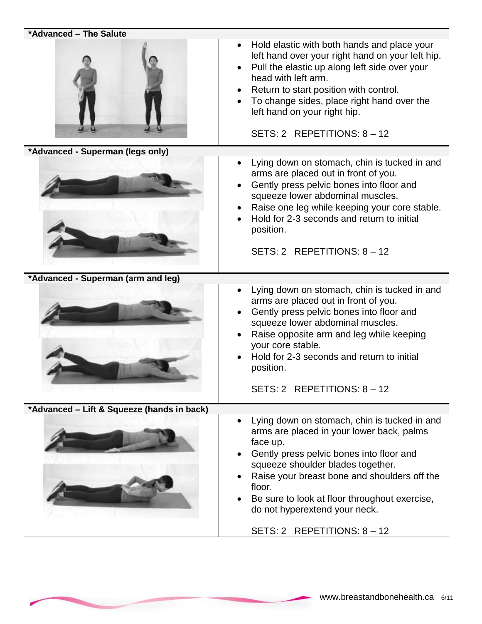#### **\*Advanced – The Salute**



**\*Advanced - Superman (legs only)**



- Hold elastic with both hands and place your left hand over your right hand on your left hip.
- Pull the elastic up along left side over your head with left arm.
- Return to start position with control.
- To change sides, place right hand over the left hand on your right hip.

SETS: 2 REPETITIONS: 8 – 12

- Lying down on stomach, chin is tucked in and arms are placed out in front of you.
- Gently press pelvic bones into floor and squeeze lower abdominal muscles.
- Raise one leg while keeping your core stable.
- Hold for 2-3 seconds and return to initial position.

SETS: 2 REPETITIONS: 8 – 12

**\*Advanced - Superman (arm and leg)**



**\*Advanced – Lift & Squeeze (hands in back)**



- Lying down on stomach, chin is tucked in and arms are placed out in front of you.
- Gently press pelvic bones into floor and squeeze lower abdominal muscles.
- Raise opposite arm and leg while keeping your core stable.
- Hold for 2-3 seconds and return to initial position.

SETS: 2 REPETITIONS: 8 – 12

- Lying down on stomach, chin is tucked in and arms are placed in your lower back, palms face up.
- Gently press pelvic bones into floor and squeeze shoulder blades together.
- Raise your breast bone and shoulders off the floor.
- Be sure to look at floor throughout exercise, do not hyperextend your neck.

SETS: 2 REPETITIONS: 8 – 12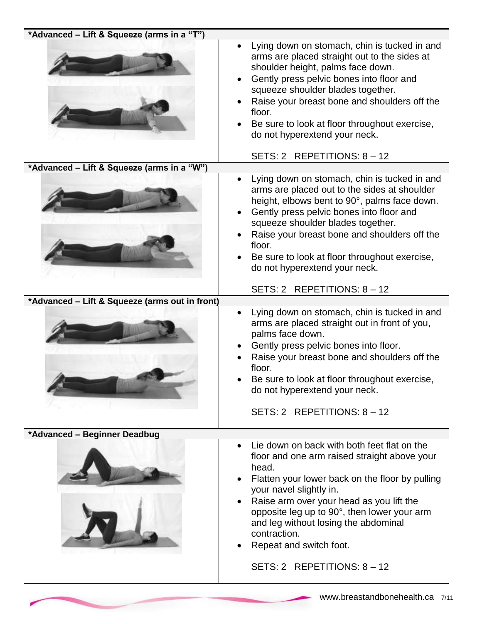| *Advanced - Lift & Squeeze (arms in a "T")     |                                                                                                                                                                                                                                                                                                                                                                                                 |
|------------------------------------------------|-------------------------------------------------------------------------------------------------------------------------------------------------------------------------------------------------------------------------------------------------------------------------------------------------------------------------------------------------------------------------------------------------|
|                                                | Lying down on stomach, chin is tucked in and<br>arms are placed straight out to the sides at<br>shoulder height, palms face down.<br>Gently press pelvic bones into floor and<br>squeeze shoulder blades together.<br>Raise your breast bone and shoulders off the<br>floor.<br>Be sure to look at floor throughout exercise,<br>do not hyperextend your neck.                                  |
|                                                | SETS: 2 REPETITIONS: 8 - 12                                                                                                                                                                                                                                                                                                                                                                     |
| *Advanced - Lift & Squeeze (arms in a "W")     | Lying down on stomach, chin is tucked in and<br>arms are placed out to the sides at shoulder<br>height, elbows bent to 90°, palms face down.<br>Gently press pelvic bones into floor and<br>squeeze shoulder blades together.<br>Raise your breast bone and shoulders off the<br>floor.<br>Be sure to look at floor throughout exercise,<br>do not hyperextend your neck.                       |
|                                                | SETS: 2 REPETITIONS: 8 - 12                                                                                                                                                                                                                                                                                                                                                                     |
| *Advanced - Lift & Squeeze (arms out in front) | Lying down on stomach, chin is tucked in and<br>$\bullet$<br>arms are placed straight out in front of you,<br>palms face down.<br>Gently press pelvic bones into floor.<br>Raise your breast bone and shoulders off the<br>floor.<br>Be sure to look at floor throughout exercise,<br>do not hyperextend your neck.<br>SETS: 2 REPETITIONS: 8 - 12                                              |
| *Advanced - Beginner Deadbug                   |                                                                                                                                                                                                                                                                                                                                                                                                 |
|                                                | Lie down on back with both feet flat on the<br>floor and one arm raised straight above your<br>head.<br>Flatten your lower back on the floor by pulling<br>your navel slightly in.<br>Raise arm over your head as you lift the<br>opposite leg up to 90°, then lower your arm<br>and leg without losing the abdominal<br>contraction.<br>Repeat and switch foot.<br>SETS: 2 REPETITIONS: 8 - 12 |
|                                                |                                                                                                                                                                                                                                                                                                                                                                                                 |
|                                                | www.breastandbonehealth.ca 7/11                                                                                                                                                                                                                                                                                                                                                                 |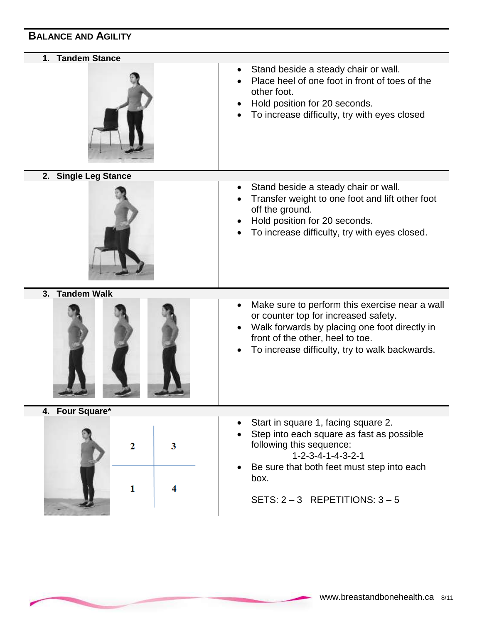## **BALANCE AND AGILITY**

**1. Tandem Stance**



- Stand beside a steady chair or wall.
- Place heel of one foot in front of toes of the other foot.
- Hold position for 20 seconds.
- To increase difficulty, try with eyes closed

**2. Single Leg Stance**



 Hold position for 20 seconds. To increase difficulty, try with eyes closed.

• Transfer weight to one foot and lift other foot

• Stand beside a steady chair or wall.

off the ground.

**3. Tandem Walk**



- Make sure to perform this exercise near a wall or counter top for increased safety.
- Walk forwards by placing one foot directly in front of the other, heel to toe.
- To increase difficulty, try to walk backwards.

**4. Four Square\***



- Start in square 1, facing square 2.
- Step into each square as fast as possible following this sequence:

1-2-3-4-1-4-3-2-1

 Be sure that both feet must step into each box.

SETS:  $2 - 3$  REPETITIONS:  $3 - 5$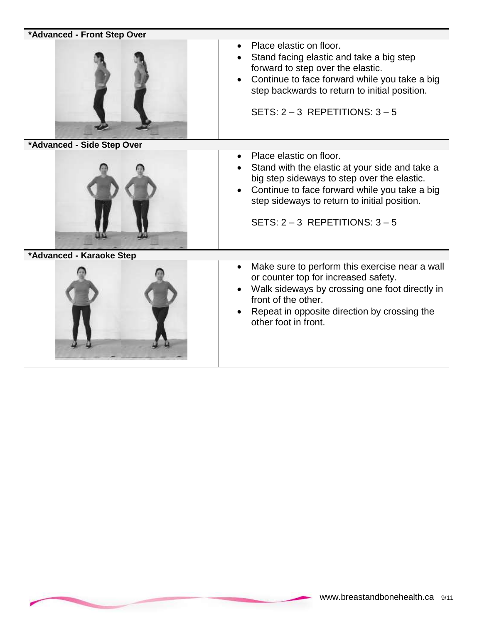| *Advanced - Front Step Over |                                                                                                                                                                                                                                                                 |
|-----------------------------|-----------------------------------------------------------------------------------------------------------------------------------------------------------------------------------------------------------------------------------------------------------------|
|                             | Place elastic on floor.<br>Stand facing elastic and take a big step<br>forward to step over the elastic.<br>Continue to face forward while you take a big<br>step backwards to return to initial position.<br>SETS: $2 - 3$ REPETITIONS: $3 - 5$                |
| *Advanced - Side Step Over  |                                                                                                                                                                                                                                                                 |
|                             | Place elastic on floor.<br>Stand with the elastic at your side and take a<br>big step sideways to step over the elastic.<br>Continue to face forward while you take a big<br>step sideways to return to initial position.<br>SETS: $2 - 3$ REPETITIONS: $3 - 5$ |
| *Advanced - Karaoke Step    |                                                                                                                                                                                                                                                                 |
|                             | Make sure to perform this exercise near a wall<br>or counter top for increased safety.<br>Walk sideways by crossing one foot directly in<br>front of the other.<br>Repeat in opposite direction by crossing the<br>other foot in front.                         |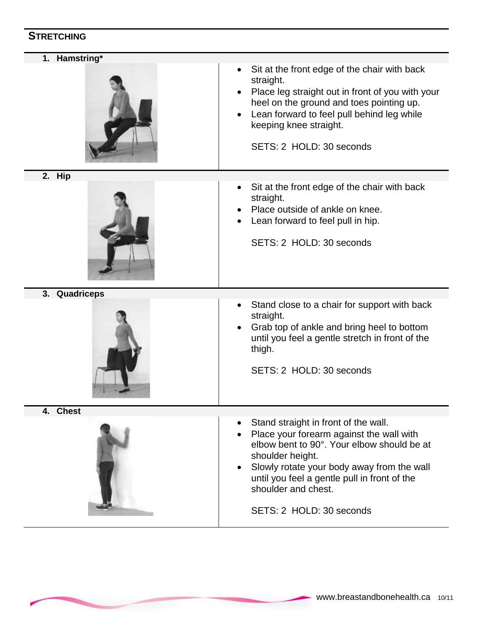# **STRETCHING**

| 1. Hamstring* |                                                                                                                                                                                                                                                                                                     |
|---------------|-----------------------------------------------------------------------------------------------------------------------------------------------------------------------------------------------------------------------------------------------------------------------------------------------------|
|               | Sit at the front edge of the chair with back<br>straight.<br>Place leg straight out in front of you with your<br>heel on the ground and toes pointing up.<br>Lean forward to feel pull behind leg while<br>keeping knee straight.<br>SETS: 2 HOLD: 30 seconds                                       |
| 2. Hip        | Sit at the front edge of the chair with back                                                                                                                                                                                                                                                        |
|               | straight.<br>Place outside of ankle on knee.<br>Lean forward to feel pull in hip.<br>SETS: 2 HOLD: 30 seconds                                                                                                                                                                                       |
| 3. Quadriceps |                                                                                                                                                                                                                                                                                                     |
|               | Stand close to a chair for support with back<br>straight.<br>Grab top of ankle and bring heel to bottom<br>until you feel a gentle stretch in front of the<br>thigh.<br>SETS: 2 HOLD: 30 seconds                                                                                                    |
| 4. Chest      |                                                                                                                                                                                                                                                                                                     |
|               | Stand straight in front of the wall.<br>Place your forearm against the wall with<br>elbow bent to 90°. Your elbow should be at<br>shoulder height.<br>Slowly rotate your body away from the wall<br>until you feel a gentle pull in front of the<br>shoulder and chest.<br>SETS: 2 HOLD: 30 seconds |